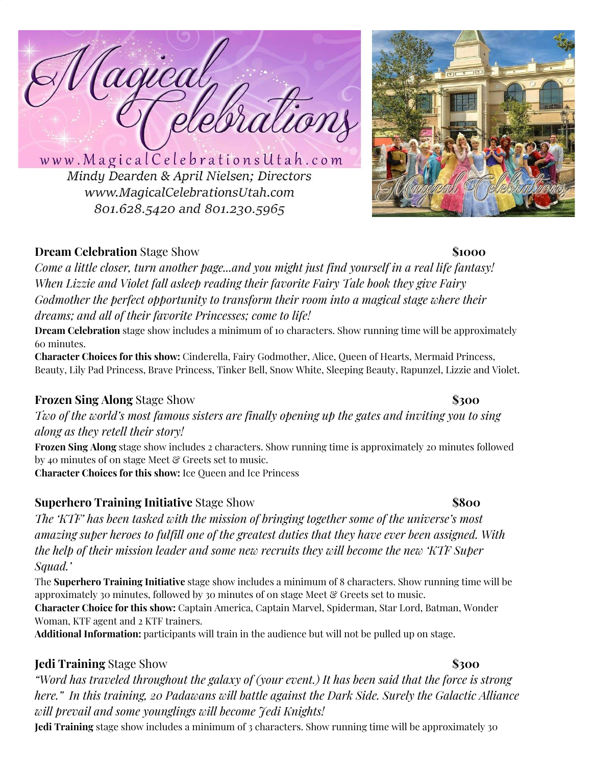aqica ebrations

www.MagicalCelebrationsUtah.com Mindy Dearden & April Nielsen; Directors www.MagicalCelebrationsUtah.com 801.628.5420 and 801.230.5965

# **Dream Celebration** Stage Show **\$1000**

*Come a little closer, turn another page...and you might just find yourself in a real life fantasy! When Lizzie and Violet fall asleep reading their favorite Fairy Tale book they give Fairy Godmother the perfect opportunity to transform their room into a magical stage where their dreams; and all of their favorite Princesses; come to life!*

**Dream Celebration** stage show includes a minimum of 10 characters. Show running time will be approximately 60 minutes.

**Character Choices for this show:** Cinderella, Fairy Godmother, Alice, Queen of Hearts, Mermaid Princess, Beauty, Lily Pad Princess, Brave Princess, Tinker Bell, Snow White, Sleeping Beauty, Rapunzel, Lizzie and Violet.

# **Frozen Sing Along** Stage Show **\$300**

*Two of the world's most famous sisters are finally opening up the gates and inviting you to sing along as they retell their story!*

**Frozen Sing Along** stage show includes 2 characters. Show running time is approximately 20 minutes followed by 40 minutes of 0n stage Meet & Greets set to music.

**Character Choices for this show:** Ice Queen and Ice Princess

# **Superhero Training Initiative** Stage Show **\$800**

*The 'KTF' has been tasked with the mission of bringing together some of the universe's most amazing super heroes to fulfill one of the greatest duties that they have ever been assigned. With the help of their mission leader and some new recruits they will become the new 'KTF Super Squad.'*

The **Superhero Training Initiative** stage show includes a minimum of 8 characters. Show running time will be approximately 30 minutes, followed by 30 minutes of on stage Meet & Greets set to music.

**Character Choice for this show:** Captain America, Captain Marvel, Spiderman, Star Lord, Batman, Wonder Woman, KTF agent and 2 KTF trainers.

**Additional Information:** participants will train in the audience but will not be pulled up on stage.

# **Jedi Training** Stage Show **\$300**

"Word has traveled throughout the galaxy of (your event.) It has been said that the force is strong *here." In this training, 20 Padawans will battle against the Dark Side. Surely the Galactic Alliance will prevail and some younglings will become Jedi Knights!*

**Jedi Training** stage show includes a minimum of 3 characters. Show running time will be approximately 30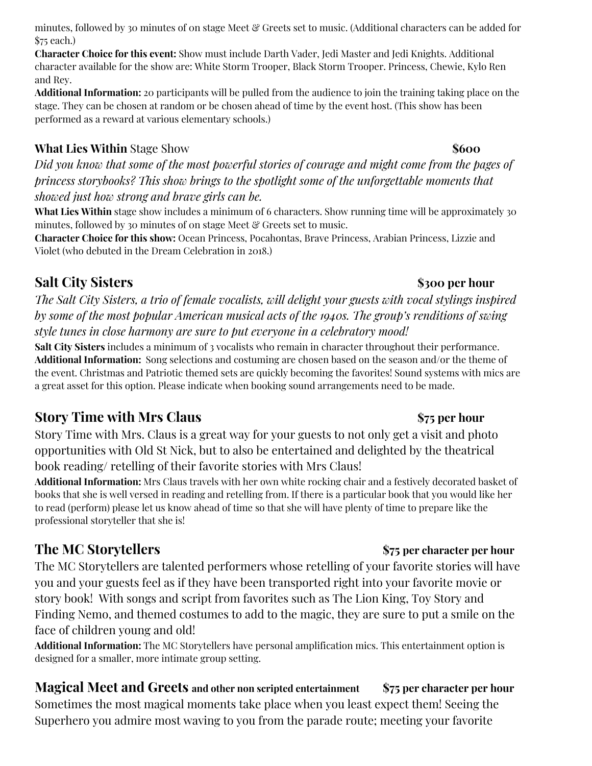minutes, followed by 30 minutes of 0n stage Meet & Greets set to music. (Additional characters can be added for \$75 each.)

**Character Choice for this event:** Show must include Darth Vader, Jedi Master and Jedi Knights. Additional character available for the show are: White Storm Trooper, Black Storm Trooper. Princess, Chewie, Kylo Ren and Rey.

**Additional Information:** 20 participants will be pulled from the audience to join the training taking place on the stage. They can be chosen at random or be chosen ahead of time by the event host. (This show has been performed as a reward at various elementary schools.)

# **What Lies Within** Stage Show **\$600**

Did you know that some of the most powerful stories of courage and might come from the pages of *princess storybooks? This show brings to the spotlight some of the unforgettable moments that showed just how strong and brave girls can be.*

**What Lies Within** stage show includes a minimum of 6 characters. Show running time will be approximately 30 minutes, followed by 30 minutes of 0n stage Meet & Greets set to music.

**Character Choice for this show:** Ocean Princess, Pocahontas, Brave Princess, Arabian Princess, Lizzie and Violet (who debuted in the Dream Celebration in 2018.)

# **Salt City Sisters \$300 per hour**

*The Salt City Sisters, a trio of female vocalists, will delight your guests with vocal stylings inspired by some of the most popular American musical acts of the 1940s. The group's renditions of swing style tunes in close harmony are sure to put everyone in a celebratory mood!*

**Salt City Sisters** includes a minimum of 3 vocalists who remain in character throughout their performance. **Additional Information:** Song selections and costuming are chosen based on the season and/or the theme of the event. Christmas and Patriotic themed sets are quickly becoming the favorites! Sound systems with mics are a great asset for this option. Please indicate when booking sound arrangements need to be made.

# **Story Time with Mrs Claus \$75 per hour**

Story Time with Mrs. Claus is a great way for your guests to not only get a visit and photo opportunities with Old St Nick, but to also be entertained and delighted by the theatrical book reading/ retelling of their favorite stories with Mrs Claus!

**Additional Information:** Mrs Claus travels with her own white rocking chair and a festively decorated basket of books that she is well versed in reading and retelling from. If there is a particular book that you would like her to read (perform) please let us know ahead of time so that she will have plenty of time to prepare like the professional storyteller that she is!

The MC Storytellers are talented performers whose retelling of your favorite stories will have you and your guests feel as if they have been transported right into your favorite movie or story book! With songs and script from favorites such as The Lion King, Toy Story and Finding Nemo, and themed costumes to add to the magic, they are sure to put a smile on the face of children young and old!

**Additional Information:** The MC Storytellers have personal amplification mics. This entertainment option is designed for a smaller, more intimate group setting.

**Magical Meet and Greets and other non scripted entertainment \$75 per character per hour** Sometimes the most magical moments take place when you least expect them! Seeing the Superhero you admire most waving to you from the parade route; meeting your favorite

## **The MC Storytellers \$75 per character per hour**